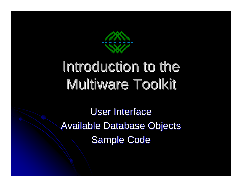

# Introduction to the Multiware Toolkit

User Interface Available Database Objects Sample Code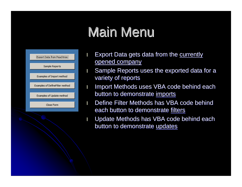## Main Menu



- **I** Export Data gets data from the currently opened company
- Sample Reports uses the exported data for a variety of reports
- I Import Methods uses VBA code behind each button to demonstrate imports
- **I** Define Filter Methods has VBA code behind each button to demonstrate filters
- I Update Methods has VBA code behind each button to demonstrate updates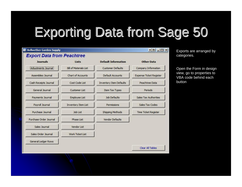## Exporting Data from Sage 50

| <b>BE Bellwether Garden Supply</b> |                               |                                | $\begin{array}{c c c c c} \hline \bullet & \bullet & \bullet & \bullet \end{array}$ |  |  |
|------------------------------------|-------------------------------|--------------------------------|-------------------------------------------------------------------------------------|--|--|
| <b>Export Data from Peachtree</b>  |                               |                                |                                                                                     |  |  |
| <b>Journals</b>                    | Lists                         | <b>Default Information</b>     | <b>Other Data</b>                                                                   |  |  |
| Adjustments Journal                | <b>Bill of Materials List</b> | <b>Customer Defaults</b>       | Company Information                                                                 |  |  |
| Assemblies Journal                 | Chart of Accounts             | Default Accounts               | <b>Expense Ticket Register</b>                                                      |  |  |
| Cash Receipts Journal              | Cost Code List                | <b>Inventory Item Defaults</b> | Peachtree Data                                                                      |  |  |
| General Journal                    | <b>Customer List</b>          | Item Tax Types                 | Periods                                                                             |  |  |
| Payments Journal                   | <b>Employee List</b>          | <b>Job Defaults</b>            | Sales Tax Authorities                                                               |  |  |
| Payroll Journal                    | Inventory Item List           | Permissions                    | Sales Tax Codes                                                                     |  |  |
| Purchase Journal                   | <b>Job List</b>               | <b>Shipping Methods</b>        | <b>Time Ticket Register</b>                                                         |  |  |
| Purchase Order Journal             | Phase List                    | <b>Vendor Defaults</b>         |                                                                                     |  |  |
| Sales Journal                      | Vendor List                   |                                |                                                                                     |  |  |
| Sales Order Journal                | Work Ticket List              |                                |                                                                                     |  |  |
| General Ledger Rows                |                               |                                |                                                                                     |  |  |
|                                    |                               |                                | Clear All Tables                                                                    |  |  |

Exports are arranged by categories.

Open the Form in design view, go to properties to VBA code behind each button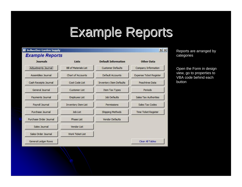## Example Reports

| <b>Example Reports</b> |                                             |                                |                                |
|------------------------|---------------------------------------------|--------------------------------|--------------------------------|
| <b>Journals</b>        | Lists                                       | <b>Default Information</b>     | <b>Other Data</b>              |
| Adjustments Journal    | <b>Bill of Materials List</b>               | <b>Customer Defaults</b>       | Company Information            |
| Assemblies Journal     | <b>Chart of Accounts</b>                    | Default Accounts               | <b>Expense Ticket Register</b> |
| Cash Receipts Journal  | Cost Code List                              | <b>Inventory Item Defaults</b> | Peachtree Data                 |
| General Journal        | <b>Customer List</b>                        | <b>Item Tax Types</b>          | Periods                        |
| Payments Journal       | <b>Employee List</b>                        | Job Defaults                   | <b>Sales Tax Authorities</b>   |
| Pavroll Journal        | <b>Inventory Item List</b>                  | Permissions                    | Sales Tax Codes                |
| Purchase Journal       | Job List                                    | <b>Shipping Methods</b>        | <b>Time Ticket Register</b>    |
| Purchase Order Journal | <b>Vendor Defaults</b><br><b>Phase List</b> |                                |                                |
| Sales Journal          | <b>Vendor List</b>                          |                                |                                |
| Sales Order Journal    | <b>Work Ticket List</b>                     |                                |                                |
| General Ledger Rows    |                                             |                                | Clear All Tables               |

Reports are arranged by categories

Open the Form in design view, go to properties to VBA code behind each button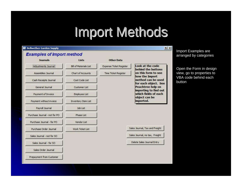## Import Methods



Import Examples are arranged by categories

Open the Form in design view, go to properties to VBA code behind each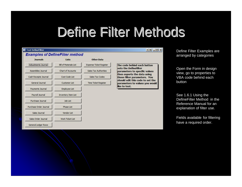## Define Filter Methods

| <b>E</b> Test DefineFilter             |                               |                                |                                                                                                                                                                                                                                             |  |  |
|----------------------------------------|-------------------------------|--------------------------------|---------------------------------------------------------------------------------------------------------------------------------------------------------------------------------------------------------------------------------------------|--|--|
| <b>Examples of DefineFilter method</b> |                               |                                |                                                                                                                                                                                                                                             |  |  |
| <b>Journals</b>                        | Lists                         | <b>Other Data</b>              |                                                                                                                                                                                                                                             |  |  |
| Adjustments Journal                    | <b>Bill of Materials List</b> | <b>Expense Ticket Register</b> | The code behind each button<br>sets the DefineFilter<br>parameters to specific values<br>then exports the data using<br>those filter parameters. You<br>should edit this code to set the<br>parameters to values you would<br>like to test. |  |  |
| Assemblies Journal                     | Chart of Accounts             | Sales Tax Authorities          |                                                                                                                                                                                                                                             |  |  |
| Cash Receipts Journal                  | Cost Code List                | Sales Tax Codes                |                                                                                                                                                                                                                                             |  |  |
| General Journal                        | Customer List                 | Time Ticket Register           |                                                                                                                                                                                                                                             |  |  |
| Payments Journal                       | Employee List                 |                                |                                                                                                                                                                                                                                             |  |  |
| Payroll Journal                        | <b>Inventory Item List</b>    |                                |                                                                                                                                                                                                                                             |  |  |
| Purchase Journal                       | Job List                      |                                |                                                                                                                                                                                                                                             |  |  |
| Purchase Order Journal                 | Phase List                    |                                |                                                                                                                                                                                                                                             |  |  |
| Sales Journal                          | Vendor List                   |                                |                                                                                                                                                                                                                                             |  |  |
| Sales Order Journal                    | Work Ticket List              |                                |                                                                                                                                                                                                                                             |  |  |
| General Ledger Rows                    |                               |                                |                                                                                                                                                                                                                                             |  |  |

Define Filter Examples are arranged by categories

Open the Form in design view, go to properties to VBA code behind each button

See 1.6.1 Using the DefineFilter Method in the Reference Manual for an explanation of filter use.

Fields available for filtering have a required order.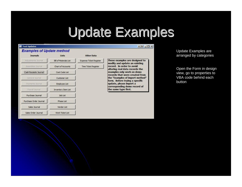## Update Examples



Update Examples are arranged by categories

Open the Form in design view, go to properties to VBA code behind each button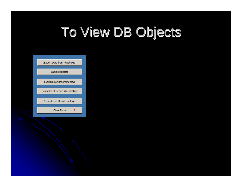## To View DB Objects

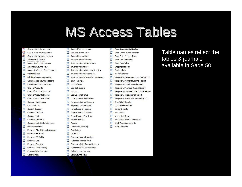#### **MS Access Tables**

- 香 Create table in Design view 画 Create table by using wizard
- ᆁ Create table by entering data
- 里 Adjustments Journal
- 靈 Assemblies Journal Headers
- 国 Assemblies Journal Rows
- 肩 Assemblies Journal Serial Numbers
- **Bill of Materials** 匪
- 圓 **Bill of Materials Components**
- 里 Cash Receipts Journal Headers
- 匾 Cash Receipts Journal Rows
- 国 Chart of Accounts
- 屋 Chart of Accounts Amounts
- 里 Chart of Accounts Budget
- 量 Chart of Accounts Revised
- 匣 Company Information
- 圓 Cost Code List
- 里 **Current Company**
- 靈 **Customer Defaults**
- 国 Customer List
- 疆 Customer List Detail
- 亜 Customer List ShipTo Addresses
- 量 Default Accounts
- 里 **Employee Direct Deposit Accounts**
- 量 Employee EE Fields
- 里 **Employee ER Fields**
- 靈 **Employee List**
- 里 Employee Pay Info
- 國 **Employee Raise History**
- 亜 **Expense Ticket Register**
- 國 General Data
- General Journal Headers 匣 General Journal Rows
- 顧 General Ledger Rows
- 
- 国 **Inventory Item Defaults**
- 圓 **Inventory Items Components**
- 量 Inventory Items List
- 画 ventory Items Primary Attributes In
- 里 **Inventory Items Sales Prices**
- 圜 **Inventory Items Secondary Attributes**
- 画 Item Tax Types
- 顧 Job Defaults
- 軍 **Job Distributions**
- 靈 Job List
- 里 Lookup Filing Status
- 顧 Lookup Pavroll Pav Method
- 里 Payments Journal Headers
- 画 Payments Journal Rows
- 画 Payroll Journal Headers
- 靈 Payroll Journal Job Rows
- 国 Payroll Journal Pay Rows
- 屇 Peachtree Data
- 匣 Periods
- 顧 Permission Summary
	- 軍 Permissions
	- 圜 Phase List
	- 匣 Purchase Journal Headers
	- 靈 Purchase Journal Rows
	- 国 Purchase Order Journal Headers
	- 爾 Purchase Order Journal Rows
- 軍 Sales Journal Headers
- Sales Journal Rows 團
- Sales Journal Serial Numbers
- 田 Sales Order Journal Headers
- 匵 Sales Order Journal Rows
- 軍 Sales Tax Authorities
- 靈 **Sales Tax Codes**
- 匪 Shipping Methods
- Startup data 顧
- 匣 tbl MWSettings
- 屋 Temporary Cash Receipts Journal Report
- 里 Temporary Payments Journal Report
- 靈 Temporary Payroll Journal Report
	- 軍 Temporary Purchase Journal Report
	- as) Temporary Purchase Order Journal Report
	- 亜 Temporary Sales Journal Report
	- 國 Temporary Sales Order Journal Report
- 里 **Time Ticket Register**
- 圜 Unit Of Measure List
- Vendor Defaults 田
- 展 Vendor List
- 軍 Vendor List Detail
- 圜 Vendor List RemitTo Addresses
- 田 Work Ticket Components
- 國 Work Ticket List

Table names reflect the tables & journals available in Sage 50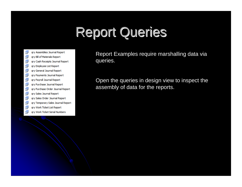## **Report Queries**

- F gry Assemblies Journal Report
- 譶 gry Bill of Materials Report
- ē gry Cash Receipts Journal Report
- ē gry Employee List Report
- ē gry General Journal Report
- 譶 gry Payments Journal Report
- 譶 gry Payroll Journal Report
- ē gry Purchase Journal Report
- 皨 ary Purchase Order Journal Report
- ē. gry Sales Journal Report
- ē gry Sales Order Journal Report
- ē gry Temporary Sales Journal Report
- 亩 gry Work Ticket List Report
- tal. gry Work Ticket Serial Numbers

Report Examples require marshalling data via queries.

Open the queries in design view to inspect the assembly of data for the reports.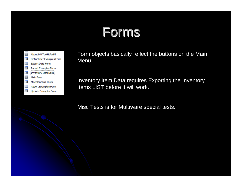## Forms



Form objects basically reflect the buttons on the Main Menu.

Inventory Item Data requires Exporting the Inventory Items LIST before it will work.

Misc Tests is for Multiware special tests.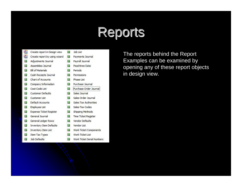### Reports

- 쵠 Create report in Design view 画
- Create report by using wizard 15
- Adjustments Journal Assemblies Journal
- Е **Bill of Materials** 這
- Cash Receipts Journal 這
- 這 Chart of Accounts
- Company Information 這
- E Cost Code List
- E. **Customer Defaults**
- E **Customer List**
- Default Accounts 洞
- 15 **Employee List**
- **Expense Ticket Register** 盯
- General Journal E
- ١T. **General Ledger Rows**
- **Inventory Item Defaults** E
- Г Inventory Item List
- E. Item Tax Types
- Î٦, Job Defaults
- IF. Payments Journal E. Payroll Journal F Peachtree Data Periods Е F Permissions 肺 Phase List F Purchase Journal Purchase Order Journal E 盯 Sales Journal 盯 Sales Order Journal **Sales Tax Authorities** Î۴, п Sales Tax Codes Shipping Methods î۴, E. Time Ticket Register F **Vendor Defaults** F Vendor List I۴. Work Ticket Components Î٦, Work Ticket List

F

Job List

Î۴, Work Ticket Serial Numbers

The reports behind the Report Examples can be examined by opening any of these report objects in design view.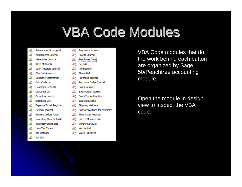## **VBA Code Modules**

- ≪ Access specific support
- à. Adiustments Journal
- do. Assemblies Journal
- ⋘ **Bill of Materials**
- ⋘ Cash Receipts Journal
- 48 Chart of Accounts
- ⋘ Company Information
- dd. Cost Code List
- ⋘ **Customer Defaults**
- æ **Customer List**
- ≪ Default Accounts
- ⋘ **Employee List**
- ≪ **Expense Ticket Register**
- ≪ General Journal
- ₩ General Ledger Rows
- ₩ **Inventory Item Defaults**
- ₩ **Inventory Items List**
- ₩ **Item Tax Types**
- ≪ **Job Defaults**
- W. **Job List**
- 22 Payments Journal
- æ Pavroll Journal
- æ Peachtree Data
- æ Periods
- ≪ Permissions
- æ **Phase List**
- æ Purchase Journal
- æ Purchase Order Journal
- 22 Sales Journal
- ∛ Sales Order Journal
- æ **Sales Tax Authorities**
- æ **SalesTaxCodes**
- æ Shipping Methods
- 22 Support routines for examples
- ≪ **Time Ticket Register**
- ≪ Unit of Measure List
- ≪ **Vendor Defaults**
- ℛ **Vendor List**
- æ **Work Ticket List**

VBA Code modules that do the work behind each button are organized by Sage 50/Peachtree accounting module.

Open the module in design view to inspect the VBA code.